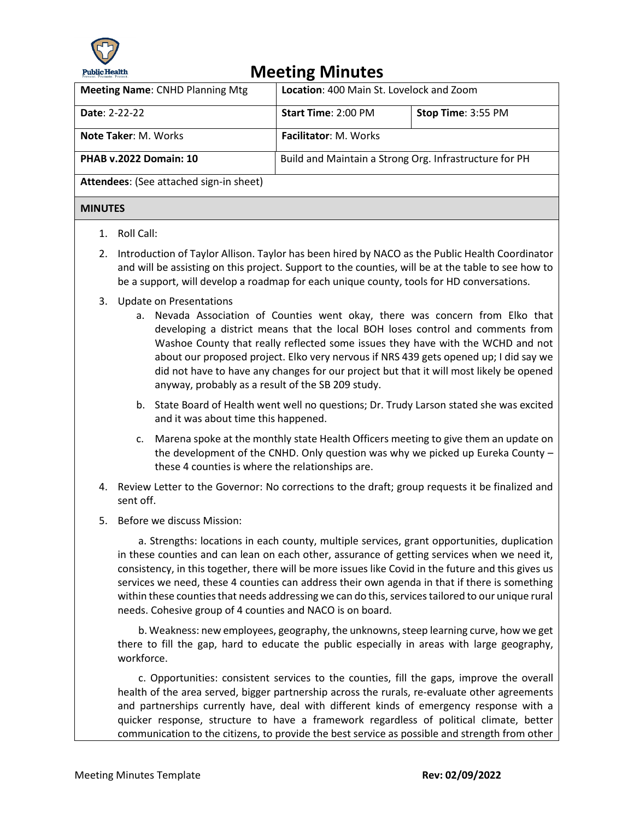

## **Meeting Minutes**

| <b>Meeting Name: CNHD Planning Mtg</b>  | <b>Location: 400 Main St. Lovelock and Zoom</b>        |                    |  |  |
|-----------------------------------------|--------------------------------------------------------|--------------------|--|--|
| Date: 2-22-22                           | Start Time: 2:00 PM                                    | Stop Time: 3:55 PM |  |  |
| <b>Note Taker: M. Works</b>             | <b>Facilitator: M. Works</b>                           |                    |  |  |
| <b>PHAB v.2022 Domain: 10</b>           | Build and Maintain a Strong Org. Infrastructure for PH |                    |  |  |
| Attendees: (See attached sign-in sheet) |                                                        |                    |  |  |
| <b>MINUTES</b>                          |                                                        |                    |  |  |

- 1. Roll Call:
- 2. Introduction of Taylor Allison. Taylor has been hired by NACO as the Public Health Coordinator and will be assisting on this project. Support to the counties, will be at the table to see how to be a support, will develop a roadmap for each unique county, tools for HD conversations.
- 3. Update on Presentations
	- a. Nevada Association of Counties went okay, there was concern from Elko that developing a district means that the local BOH loses control and comments from Washoe County that really reflected some issues they have with the WCHD and not about our proposed project. Elko very nervous if NRS 439 gets opened up; I did say we did not have to have any changes for our project but that it will most likely be opened anyway, probably as a result of the SB 209 study.
	- b. State Board of Health went well no questions; Dr. Trudy Larson stated she was excited and it was about time this happened.
	- c. Marena spoke at the monthly state Health Officers meeting to give them an update on the development of the CNHD. Only question was why we picked up Eureka County – these 4 counties is where the relationships are.
- 4. Review Letter to the Governor: No corrections to the draft; group requests it be finalized and sent off.
- 5. Before we discuss Mission:

 a. Strengths: locations in each county, multiple services, grant opportunities, duplication in these counties and can lean on each other, assurance of getting services when we need it, consistency, in this together, there will be more issues like Covid in the future and this gives us services we need, these 4 counties can address their own agenda in that if there is something within these counties that needs addressing we can do this, services tailored to our unique rural needs. Cohesive group of 4 counties and NACO is on board.

 b. Weakness: new employees, geography, the unknowns, steep learning curve, how we get there to fill the gap, hard to educate the public especially in areas with large geography, workforce.

 c. Opportunities: consistent services to the counties, fill the gaps, improve the overall health of the area served, bigger partnership across the rurals, re-evaluate other agreements and partnerships currently have, deal with different kinds of emergency response with a quicker response, structure to have a framework regardless of political climate, better communication to the citizens, to provide the best service as possible and strength from other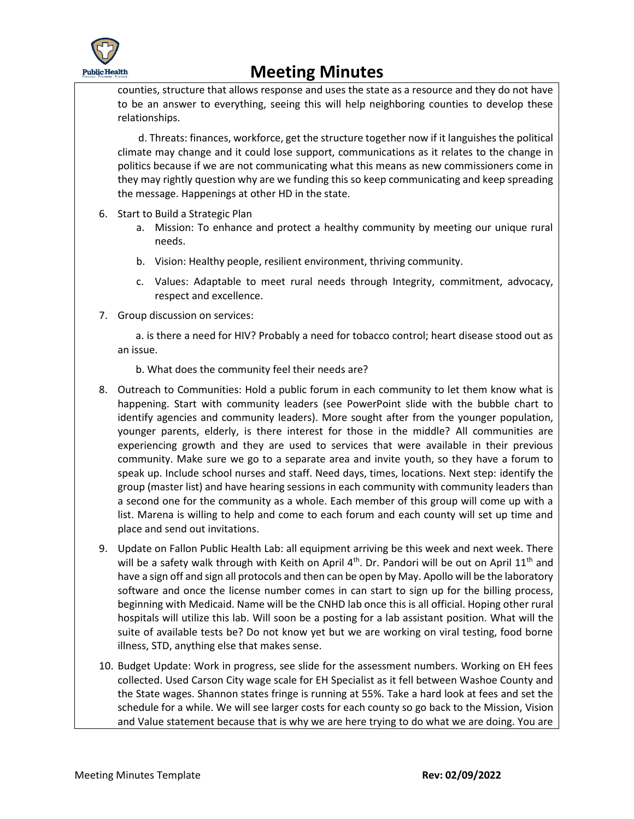

## **Meeting Minutes**

counties, structure that allows response and uses the state as a resource and they do not have to be an answer to everything, seeing this will help neighboring counties to develop these relationships.

 d. Threats: finances, workforce, get the structure together now if it languishes the political climate may change and it could lose support, communications as it relates to the change in politics because if we are not communicating what this means as new commissioners come in they may rightly question why are we funding this so keep communicating and keep spreading the message. Happenings at other HD in the state.

- 6. Start to Build a Strategic Plan
	- a. Mission: To enhance and protect a healthy community by meeting our unique rural needs.
	- b. Vision: Healthy people, resilient environment, thriving community.
	- c. Values: Adaptable to meet rural needs through Integrity, commitment, advocacy, respect and excellence.
- 7. Group discussion on services:

 a. is there a need for HIV? Probably a need for tobacco control; heart disease stood out as an issue.

b. What does the community feel their needs are?

- 8. Outreach to Communities: Hold a public forum in each community to let them know what is happening. Start with community leaders (see PowerPoint slide with the bubble chart to identify agencies and community leaders). More sought after from the younger population, younger parents, elderly, is there interest for those in the middle? All communities are experiencing growth and they are used to services that were available in their previous community. Make sure we go to a separate area and invite youth, so they have a forum to speak up. Include school nurses and staff. Need days, times, locations. Next step: identify the group (master list) and have hearing sessions in each community with community leaders than a second one for the community as a whole. Each member of this group will come up with a list. Marena is willing to help and come to each forum and each county will set up time and place and send out invitations.
- 9. Update on Fallon Public Health Lab: all equipment arriving be this week and next week. There will be a safety walk through with Keith on April 4<sup>th</sup>. Dr. Pandori will be out on April 11<sup>th</sup> and have a sign off and sign all protocols and then can be open by May. Apollo will be the laboratory software and once the license number comes in can start to sign up for the billing process, beginning with Medicaid. Name will be the CNHD lab once this is all official. Hoping other rural hospitals will utilize this lab. Will soon be a posting for a lab assistant position. What will the suite of available tests be? Do not know yet but we are working on viral testing, food borne illness, STD, anything else that makes sense.
- 10. Budget Update: Work in progress, see slide for the assessment numbers. Working on EH fees collected. Used Carson City wage scale for EH Specialist as it fell between Washoe County and the State wages. Shannon states fringe is running at 55%. Take a hard look at fees and set the schedule for a while. We will see larger costs for each county so go back to the Mission, Vision and Value statement because that is why we are here trying to do what we are doing. You are